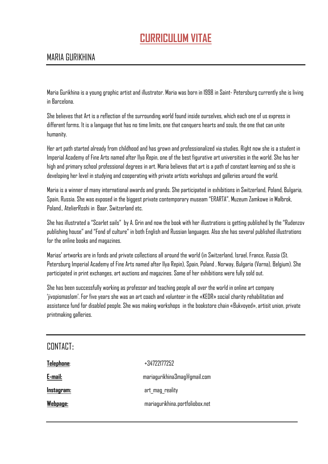## **CURRICULUM VITAE**

## MARIA GURIKHINA

Maria Gurikhina is a young graphic artist and illustrator. Maria was born in 1998 in Saint- Petersburg currently she is living in Barcelona.

She believes that Art is a reflection of the surrounding world found inside ourselves, which each one of us express in different forms. It is a language that has no time limits, one that conquers hearts and souls, the one that can unite humanity.

Her art path started already from childhood and has grown and professionalized via studies. Right now she is a student in Imperial Academy of Fine Arts named after Ilya Repin, one of the best figurative art universities in the world. She has her high and primary school professional degrees in art. Maria believes that art is a path of constant learning and so she is developing her level in studying and cooperating with private artists workshops and galleries around the world.

Maria is a winner of many international awards and grands. She participated in exhibitions in Switzerland, Poland, Bulgaria, Spain, Russia. She was exposed in the biggest private contemporary museam "ERARTA", Muzeum Zamkowe in Malbrok, Poland., AtelierRoshi in Baar, Switzerland etc.

She has illustrated a "Scarlet sails" by A. Grin and now the book with her illustrations is getting published by the "Rudenzov publishing house" and "Fond of culture" in both English and Russian languages. Also she has several published illustrations for the online books and magazines.

Marias' artworks are in fonds and private collections all around the world (in Switzerland, Israel, France, Russia (St. Petersburg Imperial Academy of Fine Arts named after Ilya Repin), Spain, Poland , Norway, Bulgaria (Varna), Belgium). She participated in print exchanges, art auctions and magazines. Some of her exhibitions were fully sold out.

She has been successfully working as professor and teaching people all over the world in online art company 'jivopismaslom'. For five years she was an art coach and volunteer in the «KEDR» social charity rehabilitation and assistance fund for disabled people. She was making workshops in the bookstore chain «Bukvoyed», artisit union, private printmaking galleries.

| CONTACT:   |                                 |
|------------|---------------------------------|
| Telephone: | +34722177252                    |
| E-mail:    | mariagurikhina3mag@gmail.com    |
| Instagram: | art_mag_reality                 |
| Webpage:   | mariagurikhina.portfoliobox.net |
|            |                                 |